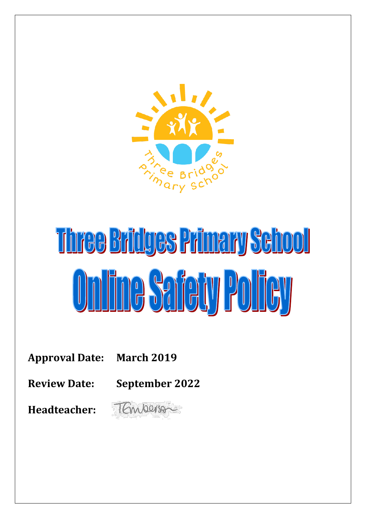

# Three Bridges Primary School **Online Safety Policy**

**Approval Date: March 2019**

**Review Date: September 2022**

**Headteacher:** 

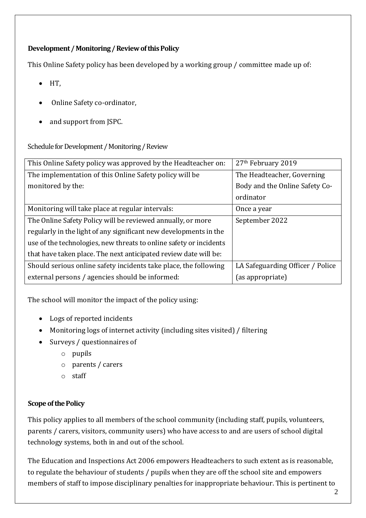## **Development / Monitoring / Review of this Policy**

This Online Safety policy has been developed by a working group / committee made up of:

- $\bullet$  HT.
- Online Safety co-ordinator,
- and support from JSPC.

Schedule for Development / Monitoring / Review

| This Online Safety policy was approved by the Headteacher on:      | 27 <sup>th</sup> February 2019   |
|--------------------------------------------------------------------|----------------------------------|
| The implementation of this Online Safety policy will be            | The Headteacher, Governing       |
| monitored by the:                                                  | Body and the Online Safety Co-   |
|                                                                    | ordinator                        |
| Monitoring will take place at regular intervals:                   | Once a year                      |
| The Online Safety Policy will be reviewed annually, or more        | September 2022                   |
| regularly in the light of any significant new developments in the  |                                  |
| use of the technologies, new threats to online safety or incidents |                                  |
| that have taken place. The next anticipated review date will be:   |                                  |
| Should serious online safety incidents take place, the following   | LA Safeguarding Officer / Police |
| external persons / agencies should be informed:                    | (as appropriate)                 |

The school will monitor the impact of the policy using:

- Logs of reported incidents
- Monitoring logs of internet activity (including sites visited) / filtering
- Surveys / questionnaires of
	- o pupils
	- o parents / carers
	- o staff

## **Scope of the Policy**

This policy applies to all members of the school community (including staff, pupils, volunteers, parents / carers, visitors, community users) who have access to and are users of school digital technology systems, both in and out of the school.

The Education and Inspections Act 2006 empowers Headteachers to such extent as is reasonable, to regulate the behaviour of students / pupils when they are off the school site and empowers members of staff to impose disciplinary penalties for inappropriate behaviour. This is pertinent to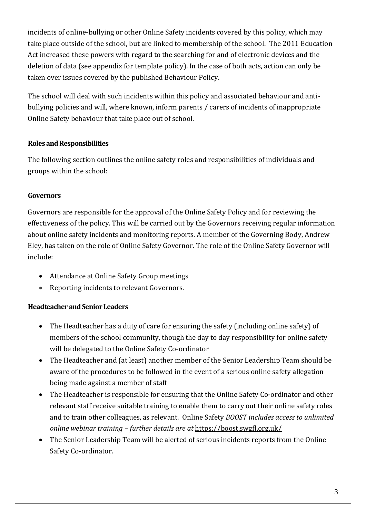incidents of online-bullying or other Online Safety incidents covered by this policy, which may take place outside of the school, but are linked to membership of the school. The 2011 Education Act increased these powers with regard to the searching for and of electronic devices and the deletion of data (see appendix for template policy). In the case of both acts, action can only be taken over issues covered by the published Behaviour Policy.

The school will deal with such incidents within this policy and associated behaviour and antibullying policies and will, where known, inform parents / carers of incidents of inappropriate Online Safety behaviour that take place out of school.

## **Roles and Responsibilities**

The following section outlines the online safety roles and responsibilities of individuals and groups within the school:

## **Governors**

Governors are responsible for the approval of the Online Safety Policy and for reviewing the effectiveness of the policy. This will be carried out by the Governors receiving regular information about online safety incidents and monitoring reports. A member of the Governing Body, Andrew Eley, has taken on the role of Online Safety Governor. The role of the Online Safety Governor will include:

- Attendance at Online Safety Group meetings
- Reporting incidents to relevant Governors.

#### **Headteacher and Senior Leaders**

- The Headteacher has a duty of care for ensuring the safety (including online safety) of members of the school community, though the day to day responsibility for online safety will be delegated to the Online Safety Co-ordinator
- The Headteacher and (at least) another member of the Senior Leadership Team should be aware of the procedures to be followed in the event of a serious online safety allegation being made against a member of staff
- The Headteacher is responsible for ensuring that the Online Safety Co-ordinator and other relevant staff receive suitable training to enable them to carry out their online safety roles and to train other colleagues, as relevant. Online Safety *BOOST includes access to unlimited online webinar training – further details are at* <https://boost.swgfl.org.uk/>
- The Senior Leadership Team will be alerted of serious incidents reports from the Online Safety Co-ordinator.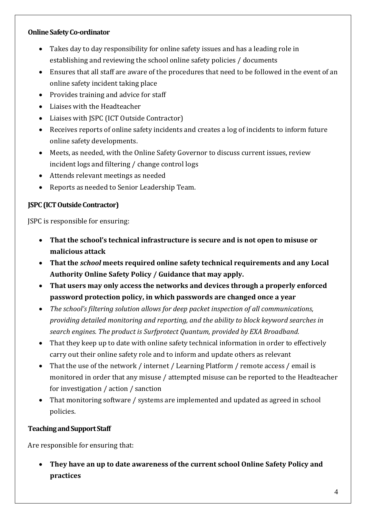#### **Online Safety Co-ordinator**

- Takes day to day responsibility for online safety issues and has a leading role in establishing and reviewing the school online safety policies / documents
- Ensures that all staff are aware of the procedures that need to be followed in the event of an online safety incident taking place
- Provides training and advice for staff
- Liaises with the Headteacher
- Liaises with JSPC (ICT Outside Contractor)
- Receives reports of online safety incidents and creates a log of incidents to inform future online safety developments.
- Meets, as needed, with the Online Safety Governor to discuss current issues, review incident logs and filtering / change control logs
- Attends relevant meetings as needed
- Reports as needed to Senior Leadership Team.

#### **JSPC (ICT Outside Contractor)**

JSPC is responsible for ensuring:

- **That the school's technical infrastructure is secure and is not open to misuse or malicious attack**
- **That the** *school* **meets required online safety technical requirements and any Local Authority Online Safety Policy / Guidance that may apply.**
- **That users may only access the networks and devices through a properly enforced password protection policy, in which passwords are changed once a year**
- *The school's filtering solution allows for deep packet inspection of all communications, providing detailed monitoring and reporting, and the ability to block keyword searches in search engines. The product is Surfprotect Quantum, provided by EXA Broadband.*
- That they keep up to date with online safety technical information in order to effectively carry out their online safety role and to inform and update others as relevant
- That the use of the network / internet / Learning Platform / remote access / email is monitored in order that any misuse / attempted misuse can be reported to the Headteacher for investigation / action / sanction
- That monitoring software / systems are implemented and updated as agreed in school policies.

## **Teachingand Support Staff**

Are responsible for ensuring that:

 **They have an up to date awareness of the current school Online Safety Policy and practices**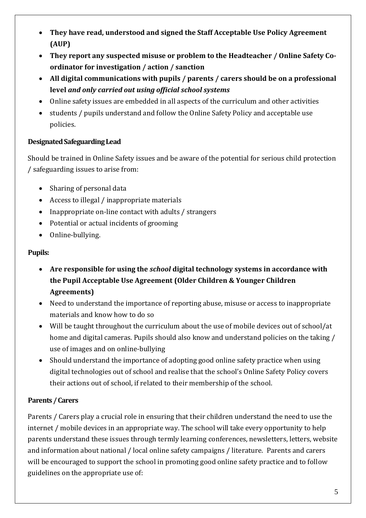- **They have read, understood and signed the Staff Acceptable Use Policy Agreement (AUP)**
- **They report any suspected misuse or problem to the Headteacher / Online Safety Coordinator for investigation / action / sanction**
- **All digital communications with pupils / parents / carers should be on a professional level** *and only carried out using official school systems*
- Online safety issues are embedded in all aspects of the curriculum and other activities
- students / pupils understand and follow the Online Safety Policy and acceptable use policies.

# **Designated Safeguarding Lead**

Should be trained in Online Safety issues and be aware of the potential for serious child protection / safeguarding issues to arise from:

- Sharing of personal data
- Access to illegal / inappropriate materials
- Inappropriate on-line contact with adults / strangers
- Potential or actual incidents of grooming
- Online-bullying.

## **Pupils:**

- **Are responsible for using the** *school* **digital technology systems in accordance with the Pupil Acceptable Use Agreement (Older Children & Younger Children Agreements)**
- Need to understand the importance of reporting abuse, misuse or access to inappropriate materials and know how to do so
- Will be taught throughout the curriculum about the use of mobile devices out of school/at home and digital cameras. Pupils should also know and understand policies on the taking / use of images and on online-bullying
- Should understand the importance of adopting good online safety practice when using digital technologies out of school and realise that the school's Online Safety Policy covers their actions out of school, if related to their membership of the school.

# **Parents / Carers**

Parents / Carers play a crucial role in ensuring that their children understand the need to use the internet / mobile devices in an appropriate way. The school will take every opportunity to help parents understand these issues through termly learning conferences, newsletters, letters, website and information about national / local online safety campaigns / literature. Parents and carers will be encouraged to support the school in promoting good online safety practice and to follow guidelines on the appropriate use of: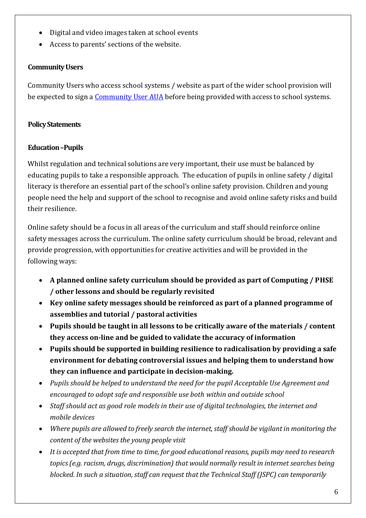- Digital and video images taken at school events
- Access to parents' sections of the website.

## **Community Users**

Community Users who access school systems / website as part of the wider school provision will be expected to sign a *Community User AUA* before being provided with access to school systems.

#### **Policy Statements**

## **Education –Pupils**

Whilst regulation and technical solutions are very important, their use must be balanced by educating pupils to take a responsible approach. The education of pupils in online safety / digital literacy is therefore an essential part of the school's online safety provision. Children and young people need the help and support of the school to recognise and avoid online safety risks and build their resilience.

Online safety should be a focus in all areas of the curriculum and staff should reinforce online safety messages across the curriculum. The online safety curriculum should be broad, relevant and provide progression, with opportunities for creative activities and will be provided in the following ways:

- **A planned online safety curriculum should be provided as part of Computing / PHSE / other lessons and should be regularly revisited**
- **Key online safety messages should be reinforced as part of a planned programme of assemblies and tutorial / pastoral activities**
- **Pupils should be taught in all lessons to be critically aware of the materials / content they access on-line and be guided to validate the accuracy of information**
- **Pupils should be supported in building resilience to radicalisation by providing a safe environment for debating controversial issues and helping them to understand how they can influence and participate in decision-making.**
- *Pupils should be helped to understand the need for the pupil Acceptable Use Agreement and encouraged to adopt safe and responsible use both within and outside school*
- *Staff should act as good role models in their use of digital technologies, the internet and mobile devices*
- *Where pupils are allowed to freely search the internet, staff should be vigilant in monitoring the content of the websites the young people visit*
- *It is accepted that from time to time, for good educational reasons, pupils may need to research topics (e.g. racism, drugs, discrimination) that would normally result in internet searches being blocked. In such a situation, staff can request that the Technical Staff (JSPC) can temporarily*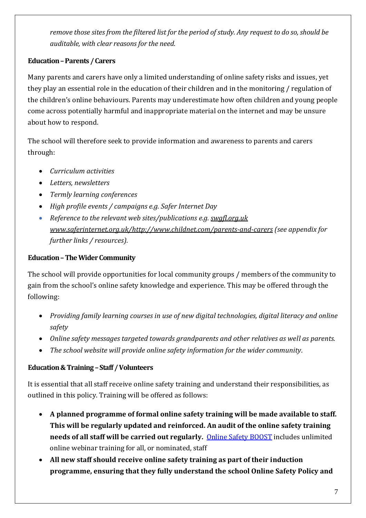*remove those sites from the filtered list for the period of study. Any request to do so, should be auditable, with clear reasons for the need.*

# **Education –Parents / Carers**

Many parents and carers have only a limited understanding of online safety risks and issues, yet they play an essential role in the education of their children and in the monitoring / regulation of the children's online behaviours. Parents may underestimate how often children and young people come across potentially harmful and inappropriate material on the internet and may be unsure about how to respond.

The school will therefore seek to provide information and awareness to parents and carers through:

- *Curriculum activities*
- *Letters, newsletters*
- *Termly learning conferences*
- *High profile events / campaigns e.g. Safer Internet Day*
- *Reference to the relevant web sites/publications e.g[. swgfl.org.uk](http://swgfl.org.uk/)  www.saferinternet.org.uk[/http://www.childnet.com/parents-and-carers](http://www.childnet.com/parents-and-carers) (see appendix for further links / resources).*

## **Education –The Wider Community**

The school will provide opportunities for local community groups / members of the community to gain from the school's online safety knowledge and experience. This may be offered through the following:

- *Providing family learning courses in use of new digital technologies, digital literacy and online safety*
- *Online safety messages targeted towards grandparents and other relatives as well as parents.*
- *The school website will provide online safety information for the wider community.*

## **Education & Training –Staff / Volunteers**

It is essential that all staff receive online safety training and understand their responsibilities, as outlined in this policy. Training will be offered as follows:

- **A planned programme of formal online safety training will be made available to staff. This will be regularly updated and reinforced. An audit of the online safety training needs of all staff will be carried out regularly.** [Online Safety BOOST](https://boost.swgfl.org.uk/) includes unlimited online webinar training for all, or nominated, staff
- **All new staff should receive online safety training as part of their induction programme, ensuring that they fully understand the school Online Safety Policy and**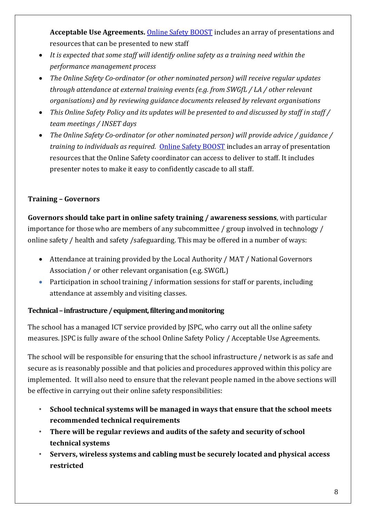**Acceptable Use Agreements.** [Online Safety BOOST](https://boost.swgfl.org.uk/) includes an array of presentations and resources that can be presented to new staff

- *It is expected that some staff will identify online safety as a training need within the performance management process*
- *The Online Safety Co-ordinator (or other nominated person) will receive regular updates through attendance at external training events (e.g. from SWGfL / LA / other relevant organisations) and by reviewing guidance documents released by relevant organisations*
- *This Online Safety Policy and its updates will be presented to and discussed by staff in staff / team meetings / INSET days*
- *The Online Safety Co-ordinator (or other nominated person) will provide advice / guidance / training to individuals as required.* [Online Safety BOOST](https://boost.swgfl.org.uk/) includes an array of presentation resources that the Online Safety coordinator can access to deliver to staff. It includes presenter notes to make it easy to confidently cascade to all staff.

# **Training – Governors**

**Governors should take part in online safety training / awareness sessions**, with particular importance for those who are members of any subcommittee / group involved in technology / online safety / health and safety /safeguarding. This may be offered in a number of ways:

- Attendance at training provided by the Local Authority / MAT / National Governors Association / or other relevant organisation (e.g. SWGfL)
- Participation in school training / information sessions for staff or parents, including attendance at assembly and visiting classes.

## **Technical –infrastructure / equipment, filtering and monitoring**

The school has a managed ICT service provided by JSPC, who carry out all the online safety measures. JSPC is fully aware of the school Online Safety Policy / Acceptable Use Agreements.

The school will be responsible for ensuring that the school infrastructure / network is as safe and secure as is reasonably possible and that policies and procedures approved within this policy are implemented. It will also need to ensure that the relevant people named in the above sections will be effective in carrying out their online safety responsibilities:

- *•* **School technical systems will be managed in ways that ensure that the school meets recommended technical requirements**
- *•* **There will be regular reviews and audits of the safety and security of school technical systems**
- *•* **Servers, wireless systems and cabling must be securely located and physical access restricted**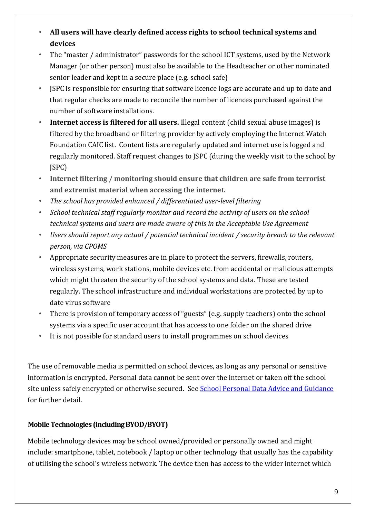- *•* **All users will have clearly defined access rights to school technical systems and devices**
- *•* The "master / administrator" passwords for the school ICT systems, used by the Network Manager (or other person) must also be available to the Headteacher or other nominated senior leader and kept in a secure place (e.g. school safe)
- *•* JSPC is responsible for ensuring that software licence logs are accurate and up to date and that regular checks are made to reconcile the number of licences purchased against the number of software installations.
- *•* **Internet access is filtered for all users.** Illegal content (child sexual abuse images) is filtered by the broadband or filtering provider by actively employing the Internet Watch Foundation CAIC list. Content lists are regularly updated and internet use is logged and regularly monitored. Staff request changes to JSPC (during the weekly visit to the school by JSPC)
- *•* **Internet filtering / monitoring should ensure that children are safe from terrorist and extremist material when accessing the internet.**
- *• The school has provided enhanced / differentiated user-level filtering*
- *• School technical staff regularly monitor and record the activity of users on the school technical systems and users are made aware of this in the Acceptable Use Agreement*
- *• Users should report any actual / potential technical incident / security breach to the relevant person, via CPOMS*
- *•* Appropriate security measures are in place to protect the servers, firewalls, routers, wireless systems, work stations, mobile devices etc. from accidental or malicious attempts which might threaten the security of the school systems and data. These are tested regularly. The school infrastructure and individual workstations are protected by up to date virus software
- *•* There is provision of temporary access of "guests" (e.g. supply teachers) onto the school systems via a specific user account that has access to one folder on the shared drive
- *•* It is not possible for standard users to install programmes on school devices

The use of removable media is permitted on school devices, as long as any personal or sensitive information is encrypted. Personal data cannot be sent over the internet or taken off the school site unless safely encrypted or otherwise secured. Se[e School Personal Data Advice and Guidance](https://swgfl.org.uk/assets/documents/appendix-school-academy-personal-data-advice-and-guidance.docx) for further detail.

## **Mobile Technologies (including BYOD/BYOT)**

Mobile technology devices may be school owned/provided or personally owned and might include: smartphone, tablet, notebook / laptop or other technology that usually has the capability of utilising the school's wireless network. The device then has access to the wider internet which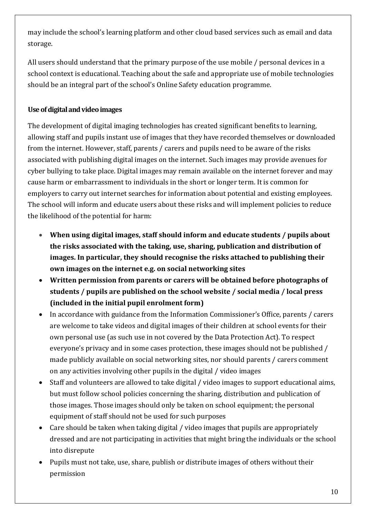may include the school's learning platform and other cloud based services such as email and data storage.

All users should understand that the primary purpose of the use mobile / personal devices in a school context is educational. Teaching about the safe and appropriate use of mobile technologies should be an integral part of the school's Online Safety education programme.

# **Use of digital and video images**

The development of digital imaging technologies has created significant benefits to learning, allowing staff and pupils instant use of images that they have recorded themselves or downloaded from the internet. However, staff, parents / carers and pupils need to be aware of the risks associated with publishing digital images on the internet. Such images may provide avenues for cyber bullying to take place. Digital images may remain available on the internet forever and may cause harm or embarrassment to individuals in the short or longer term. It is common for employers to carry out internet searches for information about potential and existing employees. The school will inform and educate users about these risks and will implement policies to reduce the likelihood of the potential for harm:

- **When using digital images, staff should inform and educate students / pupils about the risks associated with the taking, use, sharing, publication and distribution of images. In particular, they should recognise the risks attached to publishing their own images on the internet e.g. on social networking sites**
- **Written permission from parents or carers will be obtained before photographs of students / pupils are published on the school website / social media / local press (included in the initial pupil enrolment form)**
- In accordance with guidance from the Information Commissioner's Office, parents / carers are welcome to take videos and digital images of their children at school events for their own personal use (as such use in not covered by the Data Protection Act). To respect everyone's privacy and in some cases protection, these images should not be published / made publicly available on social networking sites, nor should parents / carers comment on any activities involving other pupils in the digital / video images
- Staff and volunteers are allowed to take digital / video images to support educational aims, but must follow school policies concerning the sharing, distribution and publication of those images. Those images should only be taken on school equipment; the personal equipment of staff should not be used for such purposes
- Care should be taken when taking digital / video images that pupils are appropriately dressed and are not participating in activities that might bring the individuals or the school into disrepute
- Pupils must not take, use, share, publish or distribute images of others without their permission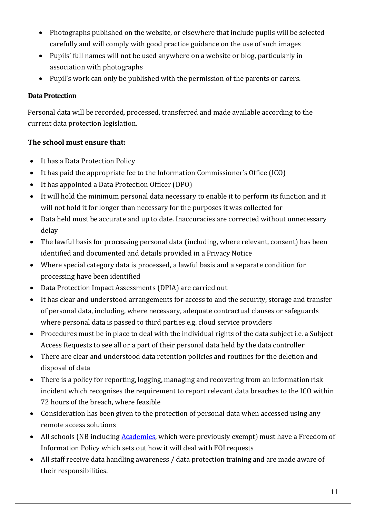- Photographs published on the website, or elsewhere that include pupils will be selected carefully and will comply with good practice guidance on the use of such images
- Pupils' full names will not be used anywhere on a website or blog, particularly in association with photographs
- Pupil's work can only be published with the permission of the parents or carers.

## **Data Protection**

Personal data will be recorded, processed, transferred and made available according to the current data protection legislation.

# **The school must ensure that:**

- It has a Data Protection Policy
- It has paid the appropriate fee to the Information Commissioner's Office (ICO)
- It has appointed a Data Protection Officer (DPO)
- It will hold the minimum personal data necessary to enable it to perform its function and it will not hold it for longer than necessary for the purposes it was collected for
- Data held must be accurate and up to date. Inaccuracies are corrected without unnecessary delay
- The lawful basis for processing personal data (including, where relevant, consent) has been identified and documented and details provided in a Privacy Notice
- Where special category data is processed, a lawful basis and a separate condition for processing have been identified
- Data Protection Impact Assessments (DPIA) are carried out
- It has clear and understood arrangements for access to and the security, storage and transfer of personal data, including, where necessary, adequate contractual clauses or safeguards where personal data is passed to third parties e.g. cloud service providers
- Procedures must be in place to deal with the individual rights of the data subject i.e. a Subject Access Requests to see all or a part of their personal data held by the data controller
- There are clear and understood data retention policies and routines for the deletion and disposal of data
- There is a policy for reporting, logging, managing and recovering from an information risk incident which recognises the requirement to report relevant data breaches to the ICO within 72 hours of the breach, where feasible
- Consideration has been given to the protection of personal data when accessed using any remote access solutions
- All schools (NB including **Academies**, which were previously exempt) must have a Freedom of Information Policy which sets out how it will deal with FOI requests
- All staff receive data handling awareness / data protection training and are made aware of their responsibilities.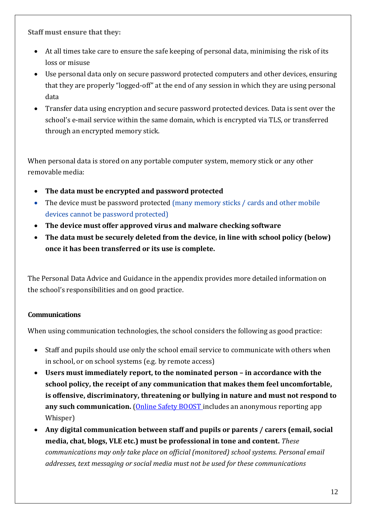**Staff must ensure that they:**

- At all times take care to ensure the safe keeping of personal data, minimising the risk of its loss or misuse
- Use personal data only on secure password protected computers and other devices, ensuring that they are properly "logged-off" at the end of any session in which they are using personal data
- Transfer data using encryption and secure password protected devices. Data is sent over the school's e-mail service within the same domain, which is encrypted via TLS, or transferred through an encrypted memory stick.

When personal data is stored on any portable computer system, memory stick or any other removable media:

- **The data must be encrypted and password protected**
- The device must be password protected (many memory sticks / cards and other mobile devices cannot be password protected)
- **The device must offer approved virus and malware checking software**
- **The data must be securely deleted from the device, in line with school policy (below) once it has been transferred or its use is complete.**

The Personal Data Advice and Guidance in the appendix provides more detailed information on the school's responsibilities and on good practice.

# **Communications**

When using communication technologies, the school considers the following as good practice:

- Staff and pupils should use only the school email service to communicate with others when in school, or on school systems (e.g. by remote access)
- **Users must immediately report, to the nominated person – in accordance with the school policy, the receipt of any communication that makes them feel uncomfortable, is offensive, discriminatory, threatening or bullying in nature and must not respond to any such communication.** [\(Online Safety BOOST i](https://boost.swgfl.org.uk/)ncludes an anonymous reporting app Whisper)
- **Any digital communication between staff and pupils or parents / carers (email, social media, chat, blogs, VLE etc.) must be professional in tone and content.** *These communications may only take place on official (monitored) school systems. Personal email addresses, text messaging or social media must not be used for these communications*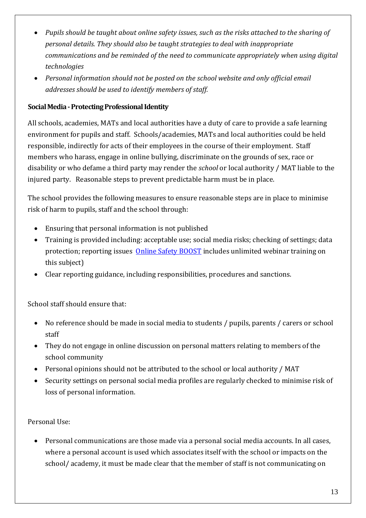- *Pupils should be taught about online safety issues, such as the risks attached to the sharing of personal details. They should also be taught strategies to deal with inappropriate communications and be reminded of the need to communicate appropriately when using digital technologies*
- *Personal information should not be posted on the school website and only official email addresses should be used to identify members of staff.*

## **Social Media -Protecting Professional Identity**

All schools, academies, MATs and local authorities have a duty of care to provide a safe learning environment for pupils and staff. Schools/academies, MATs and local authorities could be held responsible, indirectly for acts of their employees in the course of their employment. Staff members who harass, engage in online bullying, discriminate on the grounds of sex, race or disability or who defame a third party may render the *school* or local authority / MAT liable to the injured party. Reasonable steps to prevent predictable harm must be in place.

The school provides the following measures to ensure reasonable steps are in place to minimise risk of harm to pupils, staff and the school through:

- Ensuring that personal information is not published
- Training is provided including: acceptable use; social media risks; checking of settings; data protection; reporting issues [Online Safety](https://boost.swgfl.org.uk/) BOOST includes unlimited webinar training on this subject)
- Clear reporting guidance, including responsibilities, procedures and sanctions.

School staff should ensure that:

- No reference should be made in social media to students / pupils, parents / carers or school staff
- They do not engage in online discussion on personal matters relating to members of the school community
- Personal opinions should not be attributed to the school or local authority / MAT
- Security settings on personal social media profiles are regularly checked to minimise risk of loss of personal information.

#### Personal Use:

 Personal communications are those made via a personal social media accounts. In all cases, where a personal account is used which associates itself with the school or impacts on the school/ academy, it must be made clear that the member of staff is not communicating on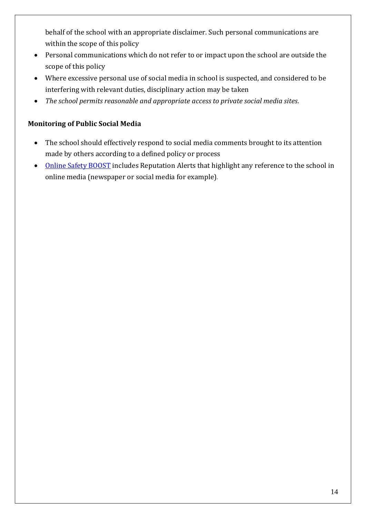behalf of the school with an appropriate disclaimer. Such personal communications are within the scope of this policy

- Personal communications which do not refer to or impact upon the school are outside the scope of this policy
- Where excessive personal use of social media in school is suspected, and considered to be interfering with relevant duties, disciplinary action may be taken
- *The school permits reasonable and appropriate access to private social media sites.*

## **Monitoring of Public Social Media**

- The school should effectively respond to social media comments brought to its attention made by others according to a defined policy or process
- [Online Safety BOOST](https://boost.swgfl.org.uk/) includes Reputation Alerts that highlight any reference to the school in online media (newspaper or social media for example).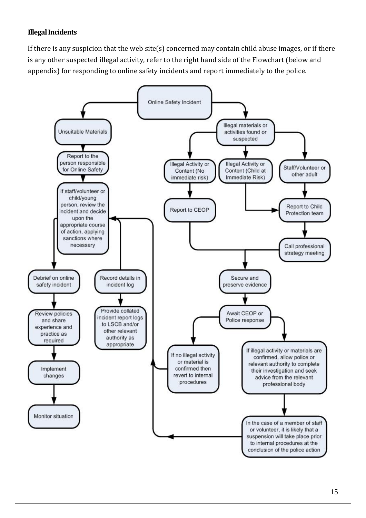## **Illegal Incidents**

If there is any suspicion that the web site(s) concerned may contain child abuse images, or if there is any other suspected illegal activity, refer to the right hand side of the Flowchart (below and appendix) for responding to online safety incidents and report immediately to the police.

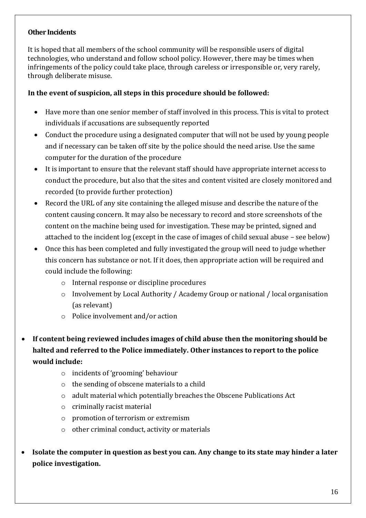#### **Other Incidents**

It is hoped that all members of the school community will be responsible users of digital technologies, who understand and follow school policy. However, there may be times when infringements of the policy could take place, through careless or irresponsible or, very rarely, through deliberate misuse.

#### **In the event of suspicion, all steps in this procedure should be followed:**

- Have more than one senior member of staff involved in this process. This is vital to protect individuals if accusations are subsequently reported
- Conduct the procedure using a designated computer that will not be used by young people and if necessary can be taken off site by the police should the need arise. Use the same computer for the duration of the procedure
- It is important to ensure that the relevant staff should have appropriate internet access to conduct the procedure, but also that the sites and content visited are closely monitored and recorded (to provide further protection)
- Record the URL of any site containing the alleged misuse and describe the nature of the content causing concern. It may also be necessary to record and store screenshots of the content on the machine being used for investigation. These may be printed, signed and attached to the incident log (except in the case of images of child sexual abuse – see below)
- Once this has been completed and fully investigated the group will need to judge whether this concern has substance or not. If it does, then appropriate action will be required and could include the following:
	- o Internal response or discipline procedures
	- o Involvement by Local Authority / Academy Group or national / local organisation (as relevant)
	- o Police involvement and/or action
- **If content being reviewed includes images of child abuse then the monitoring should be halted and referred to the Police immediately. Other instances to report to the police would include:**
	- o incidents of 'grooming' behaviour
	- o the sending of obscene materials to a child
	- o adult material which potentially breaches the Obscene Publications Act
	- o criminally racist material
	- o promotion of terrorism or extremism
	- o other criminal conduct, activity or materials
- **Isolate the computer in question as best you can. Any change to its state may hinder a later police investigation.**